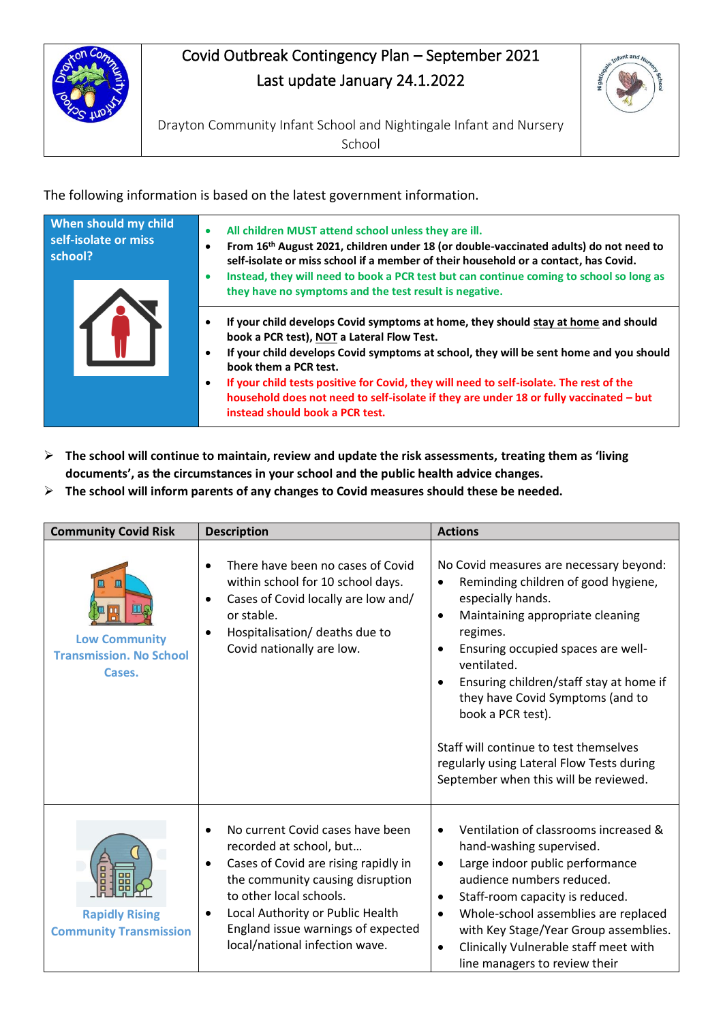

## Covid Outbreak Contingency Plan – September 2021 Last update January 24.1.2022



Drayton Community Infant School and Nightingale Infant and Nursery School

The following information is based on the latest government information.

| When should my child<br>self-isolate or miss<br>school? | All children MUST attend school unless they are ill.<br>From 16 <sup>th</sup> August 2021, children under 18 (or double-vaccinated adults) do not need to<br>self-isolate or miss school if a member of their household or a contact, has Covid.<br>Instead, they will need to book a PCR test but can continue coming to school so long as<br>they have no symptoms and the test result is negative.                                                                                         |  |
|---------------------------------------------------------|-----------------------------------------------------------------------------------------------------------------------------------------------------------------------------------------------------------------------------------------------------------------------------------------------------------------------------------------------------------------------------------------------------------------------------------------------------------------------------------------------|--|
|                                                         | If your child develops Covid symptoms at home, they should stay at home and should<br>book a PCR test), NOT a Lateral Flow Test.<br>If your child develops Covid symptoms at school, they will be sent home and you should<br>$\bullet$<br>book them a PCR test.<br>If your child tests positive for Covid, they will need to self-isolate. The rest of the<br>٠<br>household does not need to self-isolate if they are under 18 or fully vaccinated - but<br>instead should book a PCR test. |  |

- ➢ **The school will continue to maintain, review and update the risk assessments, treating them as 'living documents', as the circumstances in your school and the public health advice changes.**
- ➢ **The school will inform parents of any changes to Covid measures should these be needed.**

| <b>Community Covid Risk</b>                                                           | <b>Description</b>                                                                                                                                                                                                                                                                                                    | <b>Actions</b>                                                                                                                                                                                                                                                                                                                                                                                                                                                                      |
|---------------------------------------------------------------------------------------|-----------------------------------------------------------------------------------------------------------------------------------------------------------------------------------------------------------------------------------------------------------------------------------------------------------------------|-------------------------------------------------------------------------------------------------------------------------------------------------------------------------------------------------------------------------------------------------------------------------------------------------------------------------------------------------------------------------------------------------------------------------------------------------------------------------------------|
| $\mathbf{m}$<br>Щ<br><b>Low Community</b><br><b>Transmission. No School</b><br>Cases. | There have been no cases of Covid<br>$\bullet$<br>within school for 10 school days.<br>Cases of Covid locally are low and/<br>$\bullet$<br>or stable.<br>Hospitalisation/ deaths due to<br>$\bullet$<br>Covid nationally are low.                                                                                     | No Covid measures are necessary beyond:<br>Reminding children of good hygiene,<br>especially hands.<br>Maintaining appropriate cleaning<br>$\bullet$<br>regimes.<br>Ensuring occupied spaces are well-<br>$\bullet$<br>ventilated.<br>Ensuring children/staff stay at home if<br>$\bullet$<br>they have Covid Symptoms (and to<br>book a PCR test).<br>Staff will continue to test themselves<br>regularly using Lateral Flow Tests during<br>September when this will be reviewed. |
| <b>Rapidly Rising</b><br><b>Community Transmission</b>                                | No current Covid cases have been<br>$\bullet$<br>recorded at school, but<br>Cases of Covid are rising rapidly in<br>$\bullet$<br>the community causing disruption<br>to other local schools.<br>Local Authority or Public Health<br>$\bullet$<br>England issue warnings of expected<br>local/national infection wave. | Ventilation of classrooms increased &<br>$\bullet$<br>hand-washing supervised.<br>Large indoor public performance<br>$\bullet$<br>audience numbers reduced.<br>Staff-room capacity is reduced.<br>$\bullet$<br>Whole-school assemblies are replaced<br>$\bullet$<br>with Key Stage/Year Group assemblies.<br>Clinically Vulnerable staff meet with<br>$\bullet$<br>line managers to review their                                                                                    |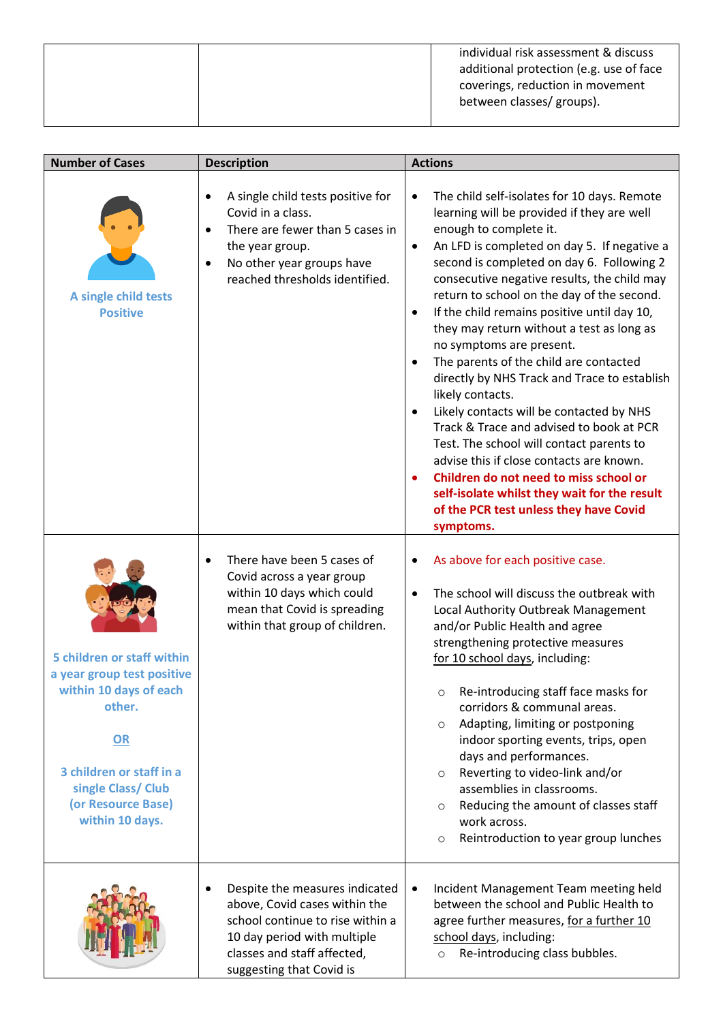|  | individual risk assessment & discuss<br>additional protection (e.g. use of face<br>coverings, reduction in movement<br>between classes/ groups). |
|--|--------------------------------------------------------------------------------------------------------------------------------------------------|
|  |                                                                                                                                                  |
|  |                                                                                                                                                  |

| <b>Number of Cases</b>                                                                                                                                                                        | <b>Description</b>                                                                                                                                                                                                 | <b>Actions</b>                                                                                                                                                                                                                                                                                                                                                                                                                                                                                                                                                                                                                                                                                                                                                                                                                                                                                                                          |  |  |
|-----------------------------------------------------------------------------------------------------------------------------------------------------------------------------------------------|--------------------------------------------------------------------------------------------------------------------------------------------------------------------------------------------------------------------|-----------------------------------------------------------------------------------------------------------------------------------------------------------------------------------------------------------------------------------------------------------------------------------------------------------------------------------------------------------------------------------------------------------------------------------------------------------------------------------------------------------------------------------------------------------------------------------------------------------------------------------------------------------------------------------------------------------------------------------------------------------------------------------------------------------------------------------------------------------------------------------------------------------------------------------------|--|--|
| A single child tests<br><b>Positive</b>                                                                                                                                                       | A single child tests positive for<br>$\bullet$<br>Covid in a class.<br>There are fewer than 5 cases in<br>$\bullet$<br>the year group.<br>No other year groups have<br>$\bullet$<br>reached thresholds identified. | The child self-isolates for 10 days. Remote<br>$\bullet$<br>learning will be provided if they are well<br>enough to complete it.<br>An LFD is completed on day 5. If negative a<br>$\bullet$<br>second is completed on day 6. Following 2<br>consecutive negative results, the child may<br>return to school on the day of the second.<br>If the child remains positive until day 10,<br>$\bullet$<br>they may return without a test as long as<br>no symptoms are present.<br>The parents of the child are contacted<br>$\bullet$<br>directly by NHS Track and Trace to establish<br>likely contacts.<br>Likely contacts will be contacted by NHS<br>Track & Trace and advised to book at PCR<br>Test. The school will contact parents to<br>advise this if close contacts are known.<br>Children do not need to miss school or<br>self-isolate whilst they wait for the result<br>of the PCR test unless they have Covid<br>symptoms. |  |  |
| 5 children or staff within<br>a year group test positive<br>within 10 days of each<br>other.<br>OR<br>3 children or staff in a<br>single Class/ Club<br>(or Resource Base)<br>within 10 days. | There have been 5 cases of<br>$\bullet$<br>Covid across a year group<br>within 10 days which could<br>mean that Covid is spreading<br>within that group of children.                                               | As above for each positive case.<br>$\bullet$<br>The school will discuss the outbreak with<br>$\bullet$<br>Local Authority Outbreak Management<br>and/or Public Health and agree<br>strengthening protective measures<br>for 10 school days, including:<br>Re-introducing staff face masks for<br>corridors & communal areas.<br>Adapting, limiting or postponing<br>$\circ$<br>indoor sporting events, trips, open<br>days and performances.<br>Reverting to video-link and/or<br>$\circ$<br>assemblies in classrooms.<br>Reducing the amount of classes staff<br>$\circ$<br>work across.<br>Reintroduction to year group lunches<br>$\circ$                                                                                                                                                                                                                                                                                           |  |  |
|                                                                                                                                                                                               | Despite the measures indicated<br>$\bullet$<br>above, Covid cases within the<br>school continue to rise within a<br>10 day period with multiple<br>classes and staff affected,<br>suggesting that Covid is         | Incident Management Team meeting held<br>$\bullet$<br>between the school and Public Health to<br>agree further measures, for a further 10<br>school days, including:<br>Re-introducing class bubbles.<br>$\circ$                                                                                                                                                                                                                                                                                                                                                                                                                                                                                                                                                                                                                                                                                                                        |  |  |